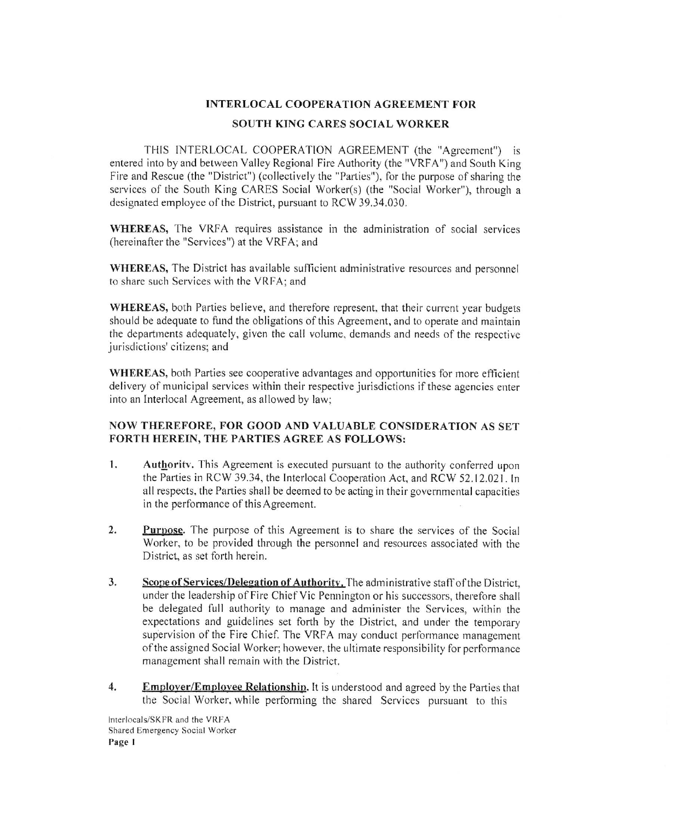## **INTERLOCAL COOPERATION AGREEMENT FOR**

## **SOUTH KING CARES SOCIAL WORKER**

THIS INTERLOCAL COOPERATION AGREEMENT (the "Agreement") is entered into by and between Valley Regional Fire Authority (the "VRFA") and South King Fire and Rescue (the "District") (collectively the "Parties"), for the purpose of sharing the services of the South King CARES Social Worker(s) (the "Social Worker"), through a designated employee of the District, pursuant to RCW 39.34.030.

WHEREAS, The VRFA requires assistance in the administration of social services (hereinafter the "Services") at the VRFA; and

WHEREAS, The District has available sufficient administrative resources and personnel to share such Services with the VRFA; and

WHEREAS, both Parties believe, and therefore represent, that their current year budgets should be adequate to fund the obligations of this Agreement, and to operate and maintain the departments adequately, given the call volume, demands and needs of the respective jurisdictions' citizens; and

WHEREAS, both Parties see cooperative advantages and opportunities for more efficient delivery of municipal services within their respective jurisdictions if these agencies enter into an Interlocal Agreement, as allowed by law;

## NOW THEREFORE, FOR GOOD AND VALUABLE CONSIDERATION AS SET FORTH HEREIN, THE PARTIES AGREE AS FOLLOWS:

- $1.$ Authority. This Agreement is executed pursuant to the authority conferred upon the Parties in RCW 39.34, the Interlocal Cooperation Act, and RCW 52.12.021. In all respects, the Parties shall be deemed to be acting in their governmental capacities in the performance of this Agreement.
- $\overline{2}$ . **Purpose.** The purpose of this Agreement is to share the services of the Social Worker, to be provided through the personnel and resources associated with the District, as set forth herein.
- 3. Scope of Services/Delegation of Authority. The administrative staff of the District, under the leadership of Fire Chief Vic Pennington or his successors, therefore shall be delegated full authority to manage and administer the Services, within the expectations and guidelines set forth by the District, and under the temporary supervision of the Fire Chief. The VRFA may conduct performance management of the assigned Social Worker; however, the ultimate responsibility for performance management shall remain with the District.
- Employer/Employee Relationship. It is understood and agreed by the Parties that  $4.$ the Social Worker, while performing the shared Services pursuant to this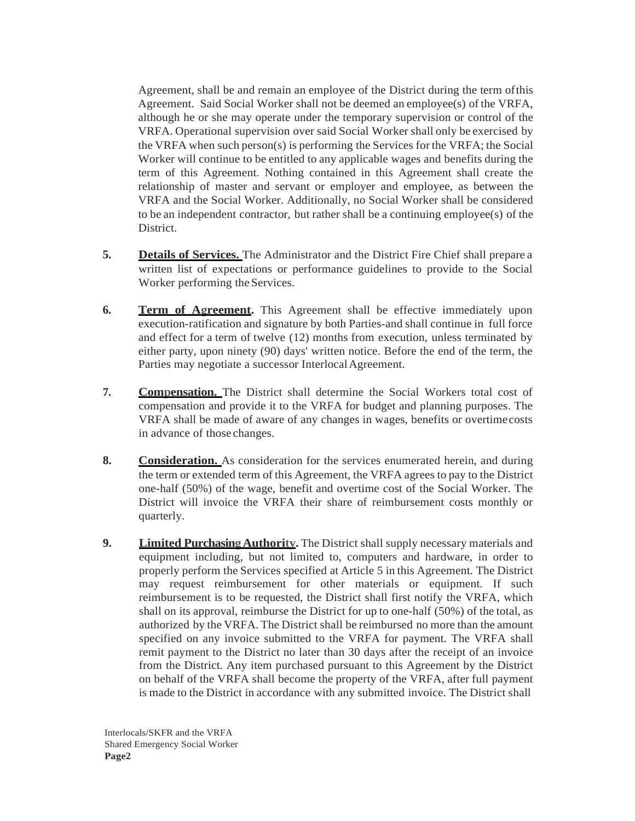Agreement, shall be and remain an employee of the District during the term ofthis Agreement. Said Social Worker shall not be deemed an employee(s) of the VRFA, although he or she may operate under the temporary supervision or control of the VRFA. Operational supervision over said Social Worker shall only be exercised by the VRFA when such person(s) is performing the Services for the VRFA; the Social Worker will continue to be entitled to any applicable wages and benefits during the term of this Agreement. Nothing contained in this Agreement shall create the relationship of master and servant or employer and employee, as between the VRFA and the Social Worker. Additionally, no Social Worker shall be considered to be an independent contractor, but rather shall be a continuing employee(s) of the District.

- **5. Details of Services.** The Administrator and the District Fire Chief shall prepare a written list of expectations or performance guidelines to provide to the Social Worker performing the Services.
- **6. Term of Agreement.** This Agreement shall be effective immediately upon execution-ratification and signature by both Parties-and shall continue in full force and effect for a term of twelve (12) months from execution, unless terminated by either party, upon ninety (90) days' written notice. Before the end of the term, the Parties may negotiate a successor Interlocal Agreement.
- **7. Compensation.** The District shall determine the Social Workers total cost of compensation and provide it to the VRFA for budget and planning purposes. The VRFA shall be made of aware of any changes in wages, benefits or overtimecosts in advance of those changes.
- **8. Consideration.** As consideration for the services enumerated herein, and during the term or extended term of this Agreement, the VRFA agrees to pay to the District one-half (50%) of the wage, benefit and overtime cost of the Social Worker. The District will invoice the VRFA their share of reimbursement costs monthly or quarterly.
- **9. Limited Purchasing Authority.** The District shall supply necessary materials and equipment including, but not limited to, computers and hardware, in order to properly perform the Services specified at Article 5 in this Agreement. The District may request reimbursement for other materials or equipment. If such reimbursement is to be requested, the District shall first notify the VRFA, which shall on its approval, reimburse the District for up to one-half (50%) of the total, as authorized by the VRFA. The District shall be reimbursed no more than the amount specified on any invoice submitted to the VRFA for payment. The VRFA shall remit payment to the District no later than 30 days after the receipt of an invoice from the District. Any item purchased pursuant to this Agreement by the District on behalf of the VRFA shall become the property of the VRFA, after full payment is made to the District in accordance with any submitted invoice. The District shall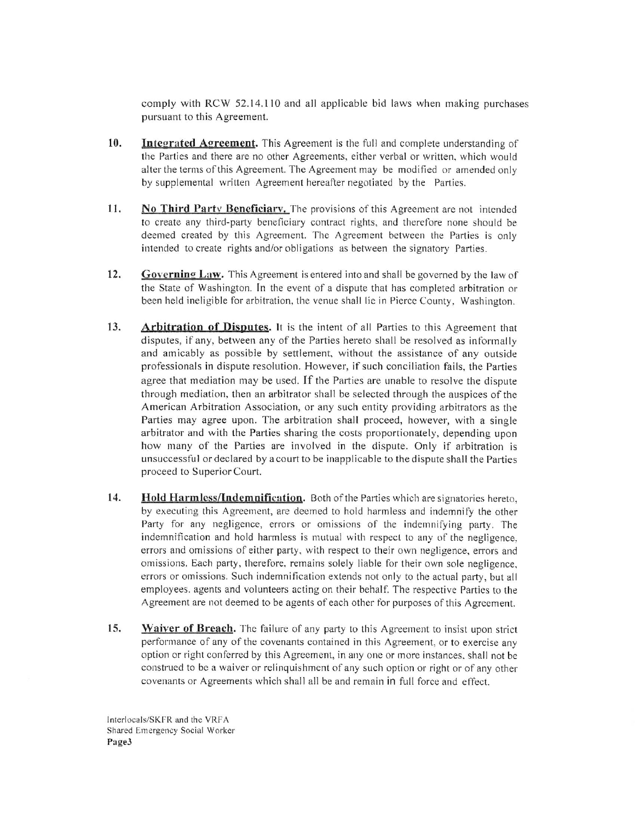comply with RCW 52.14.110 and all applicable bid laws when making purchases pursuant to this Agreement.

- 10. **Integrated Agreement.** This Agreement is the full and complete understanding of the Parties and there are no other Agreements, either verbal or written, which would alter the terms of this Agreement. The Agreement may be modified or amended only by supplemental written Agreement hereafter negotiated by the Parties.
- 11. No Third Party Beneficiary. The provisions of this Agreement are not intended to create any third-party beneficiary contract rights, and therefore none should be deemed created by this Agreement. The Agreement between the Parties is only intended to create rights and/or obligations as between the signatory Parties.
- 12. Governing Law. This Agreement is entered into and shall be governed by the law of the State of Washington. In the event of a dispute that has completed arbitration or been held ineligible for arbitration, the venue shall lie in Pierce County, Washington.
- 13. **Arbitration of Disputes.** It is the intent of all Parties to this Agreement that disputes, if any, between any of the Parties hereto shall be resolved as informally and amicably as possible by settlement, without the assistance of any outside professionals in dispute resolution. However, if such conciliation fails, the Parties agree that mediation may be used. If the Parties are unable to resolve the dispute through mediation, then an arbitrator shall be selected through the auspices of the American Arbitration Association, or any such entity providing arbitrators as the Parties may agree upon. The arbitration shall proceed, however, with a single arbitrator and with the Parties sharing the costs proportionately, depending upon how many of the Parties are involved in the dispute. Only if arbitration is unsuccessful or declared by a court to be inapplicable to the dispute shall the Parties proceed to Superior Court.
- 14. Hold Harmless/Indemnification. Both of the Parties which are signatories hereto. by executing this Agreement, are deemed to hold harmless and indemnify the other Party for any negligence, errors or omissions of the indemnifying party. The indemnification and hold harmless is mutual with respect to any of the negligence. errors and omissions of either party, with respect to their own negligence, errors and omissions. Each party, therefore, remains solely liable for their own sole negligence, errors or omissions. Such indemnification extends not only to the actual party, but all employees, agents and volunteers acting on their behalf. The respective Parties to the Agreement are not deemed to be agents of each other for purposes of this Agreement.
- 15. Waiver of Breach. The failure of any party to this Agreement to insist upon strict performance of any of the covenants contained in this Agreement, or to exercise any option or right conferred by this Agreement, in any one or more instances, shall not be construed to be a waiver or relinquishment of any such option or right or of any other covenants or Agreements which shall all be and remain in full force and effect.